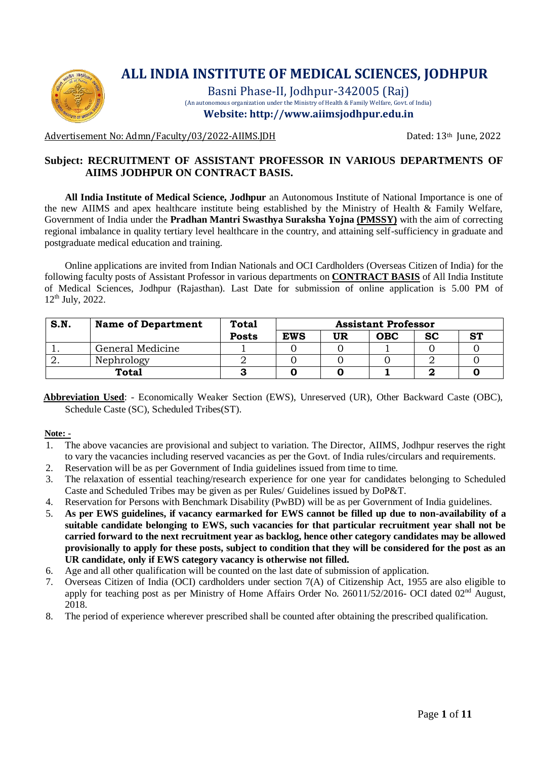

# **ALL INDIA INSTITUTE OF MEDICAL SCIENCES, JODHPUR**

Basni Phase-II, Jodhpur-342005 (Raj) (An autonomous organization under the Ministry of Health & Family Welfare, Govt. of India) **Website: http://www.aiimsjodhpur.edu.in**

Advertisement No: Admn/Faculty/03/2022-AIIMS.JDH Dated: 13th June, 2022

#### **Subject: RECRUITMENT OF ASSISTANT PROFESSOR IN VARIOUS DEPARTMENTS OF AIIMS JODHPUR ON CONTRACT BASIS.**

**All India Institute of Medical Science, Jodhpur** an Autonomous Institute of National Importance is one of the new AIIMS and apex healthcare institute being established by the Ministry of Health & Family Welfare, Government of India under the **Pradhan Mantri Swasthya Suraksha Yojna (PMSSY)** with the aim of correcting regional imbalance in quality tertiary level healthcare in the country, and attaining self-sufficiency in graduate and postgraduate medical education and training.

Online applications are invited from Indian Nationals and OCI Cardholders (Overseas Citizen of India) for the following faculty posts of Assistant Professor in various departments on **CONTRACT BASIS** of All India Institute of Medical Sciences, Jodhpur (Rajasthan). Last Date for submission of online application is 5.00 PM of  $12^{th}$  July, 2022.

| S.N. | <b>Name of Department</b> | <b>Total</b> | <b>Assistant Professor</b> |    |            |           |           |
|------|---------------------------|--------------|----------------------------|----|------------|-----------|-----------|
|      |                           | <b>Posts</b> | <b>EWS</b>                 | UR | <b>OBC</b> | <b>SC</b> | <b>ST</b> |
|      | General Medicine          |              |                            |    |            |           |           |
| ـ ت  | Nephrology                |              |                            |    |            |           |           |
|      | <b>Total</b>              |              |                            |    |            |           |           |

 **Abbreviation Used**: - Economically Weaker Section (EWS), Unreserved (UR), Other Backward Caste (OBC), Schedule Caste (SC), Scheduled Tribes(ST).

#### **Note: -**

- 1. The above vacancies are provisional and subject to variation. The Director, AIIMS, Jodhpur reserves the right to vary the vacancies including reserved vacancies as per the Govt. of India rules/circulars and requirements.
- 2. Reservation will be as per Government of India guidelines issued from time to time.
- 3. The relaxation of essential teaching/research experience for one year for candidates belonging to Scheduled Caste and Scheduled Tribes may be given as per Rules/ Guidelines issued by DoP&T.
- 4. Reservation for Persons with Benchmark Disability (PwBD) will be as per Government of India guidelines.
- 5. **As per EWS guidelines, if vacancy earmarked for EWS cannot be filled up due to non-availability of a suitable candidate belonging to EWS, such vacancies for that particular recruitment year shall not be carried forward to the next recruitment year as backlog, hence other category candidates may be allowed provisionally to apply for these posts, subject to condition that they will be considered for the post as an UR candidate, only if EWS category vacancy is otherwise not filled.**
- 6. Age and all other qualification will be counted on the last date of submission of application.
- 7. Overseas Citizen of India (OCI) cardholders under section 7(A) of Citizenship Act, 1955 are also eligible to apply for teaching post as per Ministry of Home Affairs Order No. 26011/52/2016- OCI dated 02<sup>nd</sup> August, 2018.
- 8. The period of experience wherever prescribed shall be counted after obtaining the prescribed qualification.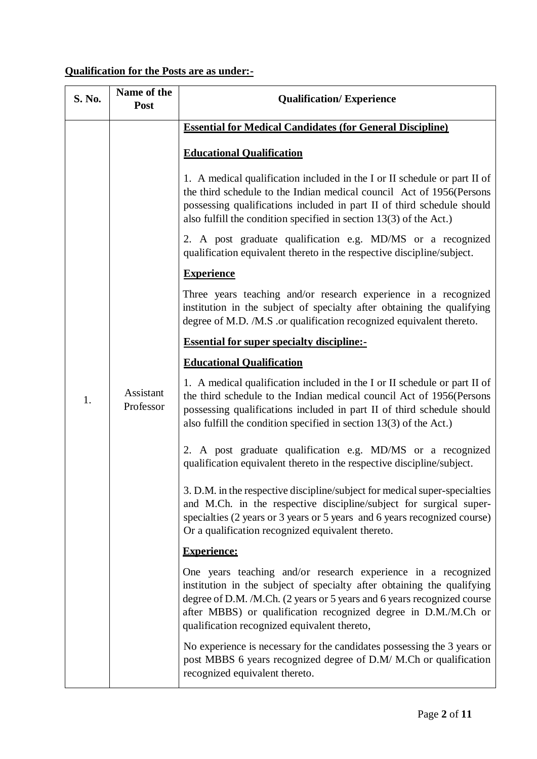# **Qualification for the Posts are as under:-**

| S. No. | Name of the<br>Post    | <b>Qualification/Experience</b>                                                                                                                                                                                                                                                                                                      |  |  |  |
|--------|------------------------|--------------------------------------------------------------------------------------------------------------------------------------------------------------------------------------------------------------------------------------------------------------------------------------------------------------------------------------|--|--|--|
|        |                        | <b>Essential for Medical Candidates (for General Discipline)</b>                                                                                                                                                                                                                                                                     |  |  |  |
|        |                        | <b>Educational Qualification</b>                                                                                                                                                                                                                                                                                                     |  |  |  |
|        |                        | 1. A medical qualification included in the I or II schedule or part II of<br>the third schedule to the Indian medical council Act of 1956(Persons<br>possessing qualifications included in part II of third schedule should<br>also fulfill the condition specified in section $13(3)$ of the Act.)                                  |  |  |  |
|        |                        | 2. A post graduate qualification e.g. MD/MS or a recognized<br>qualification equivalent thereto in the respective discipline/subject.                                                                                                                                                                                                |  |  |  |
|        |                        | <b>Experience</b>                                                                                                                                                                                                                                                                                                                    |  |  |  |
|        |                        | Three years teaching and/or research experience in a recognized<br>institution in the subject of specialty after obtaining the qualifying<br>degree of M.D. /M.S. or qualification recognized equivalent thereto.                                                                                                                    |  |  |  |
|        |                        | <b>Essential for super specialty discipline:-</b>                                                                                                                                                                                                                                                                                    |  |  |  |
|        |                        | <b>Educational Qualification</b>                                                                                                                                                                                                                                                                                                     |  |  |  |
| 1.     | Assistant<br>Professor | 1. A medical qualification included in the I or II schedule or part II of<br>the third schedule to the Indian medical council Act of 1956(Persons<br>possessing qualifications included in part II of third schedule should<br>also fulfill the condition specified in section $13(3)$ of the Act.)                                  |  |  |  |
|        |                        | 2. A post graduate qualification e.g. MD/MS or a recognized<br>qualification equivalent thereto in the respective discipline/subject.                                                                                                                                                                                                |  |  |  |
|        |                        | 3. D.M. in the respective discipline/subject for medical super-specialties<br>and M.Ch. in the respective discipline/subject for surgical super-<br>specialties (2 years or 3 years or 5 years and 6 years recognized course)<br>Or a qualification recognized equivalent thereto.                                                   |  |  |  |
|        |                        | <b>Experience:</b>                                                                                                                                                                                                                                                                                                                   |  |  |  |
|        |                        | One years teaching and/or research experience in a recognized<br>institution in the subject of specialty after obtaining the qualifying<br>degree of D.M. /M.Ch. (2 years or 5 years and 6 years recognized course<br>after MBBS) or qualification recognized degree in D.M./M.Ch or<br>qualification recognized equivalent thereto, |  |  |  |
|        |                        | No experience is necessary for the candidates possessing the 3 years or<br>post MBBS 6 years recognized degree of D.M/ M.Ch or qualification<br>recognized equivalent thereto.                                                                                                                                                       |  |  |  |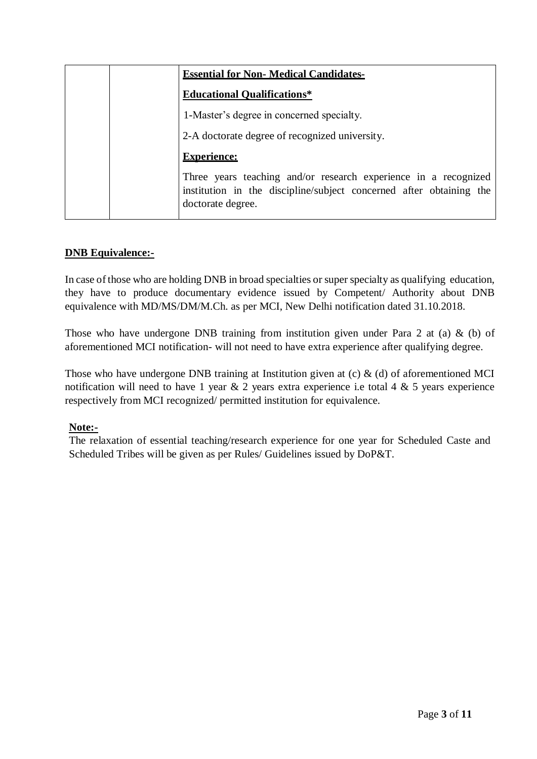|  | <b>Essential for Non- Medical Candidates-</b>                                                                                                               |
|--|-------------------------------------------------------------------------------------------------------------------------------------------------------------|
|  | <b>Educational Qualifications*</b>                                                                                                                          |
|  | 1-Master's degree in concerned specialty.                                                                                                                   |
|  | 2-A doctorate degree of recognized university.                                                                                                              |
|  | <b>Experience:</b>                                                                                                                                          |
|  | Three years teaching and/or research experience in a recognized<br>institution in the discipline/subject concerned after obtaining the<br>doctorate degree. |

### **DNB Equivalence:-**

In case of those who are holding DNB in broad specialties or super specialty as qualifying education, they have to produce documentary evidence issued by Competent/ Authority about DNB equivalence with MD/MS/DM/M.Ch. as per MCI, New Delhi notification dated 31.10.2018.

Those who have undergone DNB training from institution given under Para 2 at (a) & (b) of aforementioned MCI notification- will not need to have extra experience after qualifying degree.

Those who have undergone DNB training at Institution given at (c) & (d) of aforementioned MCI notification will need to have 1 year & 2 years extra experience i.e total 4 & 5 years experience respectively from MCI recognized/ permitted institution for equivalence.

### **Note:-**

The relaxation of essential teaching/research experience for one year for Scheduled Caste and Scheduled Tribes will be given as per Rules/ Guidelines issued by DoP&T.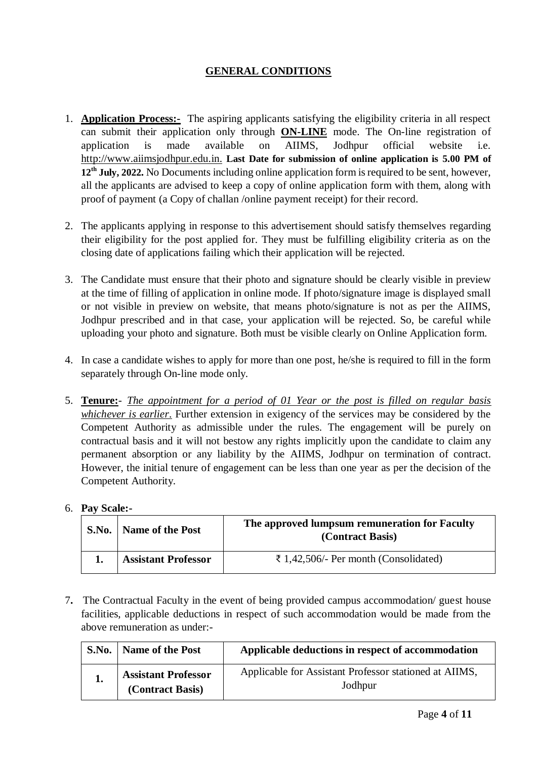## **GENERAL CONDITIONS**

- 1. **Application Process:-** The aspiring applicants satisfying the eligibility criteria in all respect can submit their application only through **ON-LINE** mode. The On-line registration of application is made available on AIIMS, Jodhpur official website i.e. [http://www.aiimsjodhpur.edu.in.](http://www.aiimsjodhpur.edu.in/) **Last Date for submission of online application is 5.00 PM of 12th July, 2022.** No Documents including online application form is required to be sent, however, all the applicants are advised to keep a copy of online application form with them, along with proof of payment (a Copy of challan /online payment receipt) for their record.
- 2. The applicants applying in response to this advertisement should satisfy themselves regarding their eligibility for the post applied for. They must be fulfilling eligibility criteria as on the closing date of applications failing which their application will be rejected.
- 3. The Candidate must ensure that their photo and signature should be clearly visible in preview at the time of filling of application in online mode. If photo/signature image is displayed small or not visible in preview on website, that means photo/signature is not as per the AIIMS, Jodhpur prescribed and in that case, your application will be rejected. So, be careful while uploading your photo and signature. Both must be visible clearly on Online Application form.
- 4. In case a candidate wishes to apply for more than one post, he/she is required to fill in the form separately through On-line mode only.
- 5. **Tenure:** *The appointment for a period of 01 Year or the post is filled on regular basis whichever is earlier*. Further extension in exigency of the services may be considered by the Competent Authority as admissible under the rules. The engagement will be purely on contractual basis and it will not bestow any rights implicitly upon the candidate to claim any permanent absorption or any liability by the AIIMS, Jodhpur on termination of contract. However, the initial tenure of engagement can be less than one year as per the decision of the Competent Authority.
- 6. **Pay Scale:-**

| S.No. | <b>Name of the Post</b>    | The approved lumpsum remuneration for Faculty<br>(Contract Basis) |
|-------|----------------------------|-------------------------------------------------------------------|
|       | <b>Assistant Professor</b> | ₹ 1,42,506/- Per month (Consolidated)                             |

7**.** The Contractual Faculty in the event of being provided campus accommodation/ guest house facilities, applicable deductions in respect of such accommodation would be made from the above remuneration as under:-

| S.No. | <b>Name of the Post</b>                        | Applicable deductions in respect of accommodation                 |
|-------|------------------------------------------------|-------------------------------------------------------------------|
|       | <b>Assistant Professor</b><br>(Contract Basis) | Applicable for Assistant Professor stationed at AIIMS,<br>Jodhpur |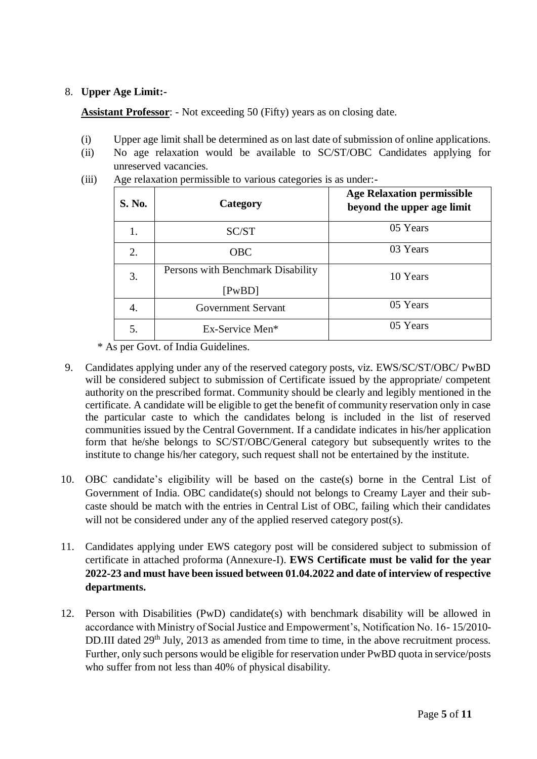#### 8. **Upper Age Limit:-**

**Assistant Professor**: - Not exceeding 50 (Fifty) years as on closing date.

- (i) Upper age limit shall be determined as on last date of submission of online applications.
- (ii) No age relaxation would be available to SC/ST/OBC Candidates applying for unreserved vacancies.

| S. No. | Category                                    | <b>Age Relaxation permissible</b><br>beyond the upper age limit |
|--------|---------------------------------------------|-----------------------------------------------------------------|
| 1.     | SC/ST                                       | 05 Years                                                        |
| 2.     | <b>OBC</b>                                  | 03 Years                                                        |
| 3.     | Persons with Benchmark Disability<br>[PwBD] | 10 Years                                                        |
| 4.     | Government Servant                          | 05 Years                                                        |
| 5.     | Ex-Service Men*                             | 05 Years                                                        |

(iii) Age relaxation permissible to various categories is as under:-

\* As per Govt. of India Guidelines.

- 9. Candidates applying under any of the reserved category posts, viz. EWS/SC/ST/OBC/ PwBD will be considered subject to submission of Certificate issued by the appropriate/ competent authority on the prescribed format. Community should be clearly and legibly mentioned in the certificate. A candidate will be eligible to get the benefit of community reservation only in case the particular caste to which the candidates belong is included in the list of reserved communities issued by the Central Government. If a candidate indicates in his/her application form that he/she belongs to SC/ST/OBC/General category but subsequently writes to the institute to change his/her category, such request shall not be entertained by the institute.
- 10. OBC candidate's eligibility will be based on the caste(s) borne in the Central List of Government of India. OBC candidate(s) should not belongs to Creamy Layer and their subcaste should be match with the entries in Central List of OBC, failing which their candidates will not be considered under any of the applied reserved category post(s).
- 11. Candidates applying under EWS category post will be considered subject to submission of certificate in attached proforma (Annexure-I). **EWS Certificate must be valid for the year 2022-23 and must have been issued between 01.04.2022 and date of interview of respective departments.**
- 12. Person with Disabilities (PwD) candidate(s) with benchmark disability will be allowed in accordance with Ministry of Social Justice and Empowerment's, Notification No. 16- 15/2010- DD.III dated 29<sup>th</sup> July, 2013 as amended from time to time, in the above recruitment process. Further, only such persons would be eligible for reservation under PwBD quota in service/posts who suffer from not less than 40% of physical disability.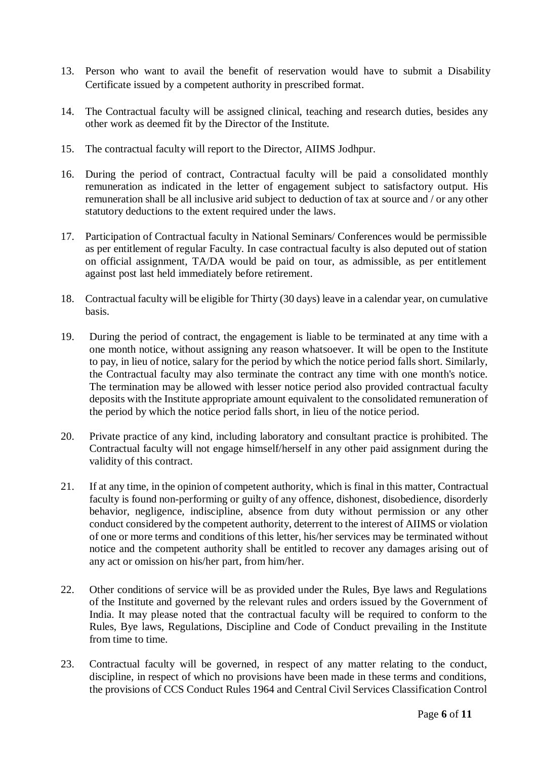- 13. Person who want to avail the benefit of reservation would have to submit a Disability Certificate issued by a competent authority in prescribed format.
- 14. The Contractual faculty will be assigned clinical, teaching and research duties, besides any other work as deemed fit by the Director of the Institute.
- 15. The contractual faculty will report to the Director, AIIMS Jodhpur.
- 16. During the period of contract, Contractual faculty will be paid a consolidated monthly remuneration as indicated in the letter of engagement subject to satisfactory output. His remuneration shall be all inclusive arid subject to deduction of tax at source and / or any other statutory deductions to the extent required under the laws.
- 17. Participation of Contractual faculty in National Seminars/ Conferences would be permissible as per entitlement of regular Faculty. In case contractual faculty is also deputed out of station on official assignment, TA/DA would be paid on tour, as admissible, as per entitlement against post last held immediately before retirement.
- 18. Contractual faculty will be eligible for Thirty (30 days) leave in a calendar year, on cumulative basis.
- 19. During the period of contract, the engagement is liable to be terminated at any time with a one month notice, without assigning any reason whatsoever. It will be open to the Institute to pay, in lieu of notice, salary for the period by which the notice period falls short. Similarly, the Contractual faculty may also terminate the contract any time with one month's notice. The termination may be allowed with lesser notice period also provided contractual faculty deposits with the Institute appropriate amount equivalent to the consolidated remuneration of the period by which the notice period falls short, in lieu of the notice period.
- 20. Private practice of any kind, including laboratory and consultant practice is prohibited. The Contractual faculty will not engage himself/herself in any other paid assignment during the validity of this contract.
- 21. If at any time, in the opinion of competent authority, which is final in this matter, Contractual faculty is found non-performing or guilty of any offence, dishonest, disobedience, disorderly behavior, negligence, indiscipline, absence from duty without permission or any other conduct considered by the competent authority, deterrent to the interest of AIIMS or violation of one or more terms and conditions of this letter, his/her services may be terminated without notice and the competent authority shall be entitled to recover any damages arising out of any act or omission on his/her part, from him/her.
- 22. Other conditions of service will be as provided under the Rules, Bye laws and Regulations of the Institute and governed by the relevant rules and orders issued by the Government of India. It may please noted that the contractual faculty will be required to conform to the Rules, Bye laws, Regulations, Discipline and Code of Conduct prevailing in the Institute from time to time.
- 23. Contractual faculty will be governed, in respect of any matter relating to the conduct, discipline, in respect of which no provisions have been made in these terms and conditions, the provisions of CCS Conduct Rules 1964 and Central Civil Services Classification Control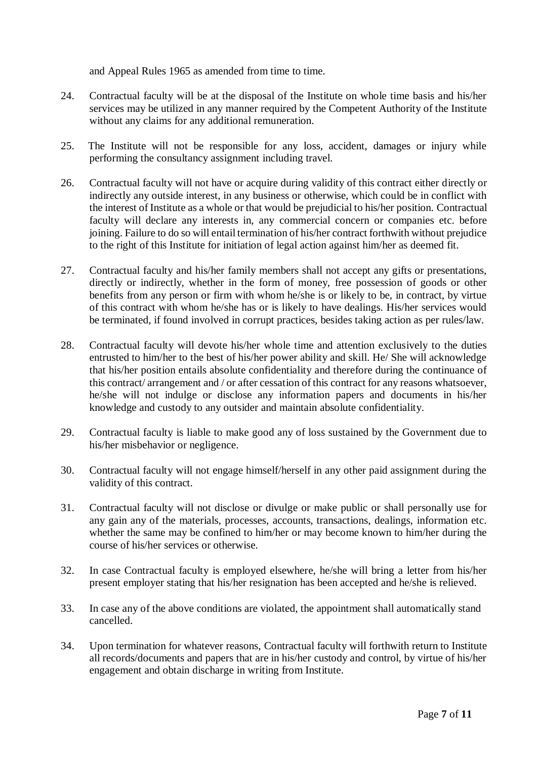and Appeal Rules 1965 as amended from time to time.

- 24. Contractual faculty will be at the disposal of the Institute on whole time basis and his/her services may be utilized in any manner required by the Competent Authority of the Institute without any claims for any additional remuneration.
- 25. The Institute will not be responsible for any loss, accident, damages or injury while performing the consultancy assignment including travel.
- 26. Contractual faculty will not have or acquire during validity of this contract either directly or indirectly any outside interest, in any business or otherwise, which could be in conflict with the interest of Institute as a whole or that would be prejudicial to his/her position. Contractual faculty will declare any interests in, any commercial concern or companies etc. before joining. Failure to do so will entail termination of his/her contract forthwith without prejudice to the right of this Institute for initiation of legal action against him/her as deemed fit.
- 27. Contractual faculty and his/her family members shall not accept any gifts or presentations, directly or indirectly, whether in the form of money, free possession of goods or other benefits from any person or firm with whom he/she is or likely to be, in contract, by virtue of this contract with whom he/she has or is likely to have dealings. His/her services would be terminated, if found involved in corrupt practices, besides taking action as per rules/law.
- 28. Contractual faculty will devote his/her whole time and attention exclusively to the duties entrusted to him/her to the best of his/her power ability and skill. He/ She will acknowledge that his/her position entails absolute confidentiality and therefore during the continuance of this contract/ arrangement and / or after cessation of this contract for any reasons whatsoever, he/she will not indulge or disclose any information papers and documents in his/her knowledge and custody to any outsider and maintain absolute confidentiality.
- 29. Contractual faculty is liable to make good any of loss sustained by the Government due to his/her misbehavior or negligence.
- 30. Contractual faculty will not engage himself/herself in any other paid assignment during the validity of this contract.
- 31. Contractual faculty will not disclose or divulge or make public or shall personally use for any gain any of the materials, processes, accounts, transactions, dealings, information etc. whether the same may be confined to him/her or may become known to him/her during the course of his/her services or otherwise.
- 32. In case Contractual faculty is employed elsewhere, he/she will bring a letter from his/her present employer stating that his/her resignation has been accepted and he/she is relieved.
- 33. In case any of the above conditions are violated, the appointment shall automatically stand cancelled.
- 34. Upon termination for whatever reasons, Contractual faculty will forthwith return to Institute all records/documents and papers that are in his/her custody and control, by virtue of his/her engagement and obtain discharge in writing from Institute.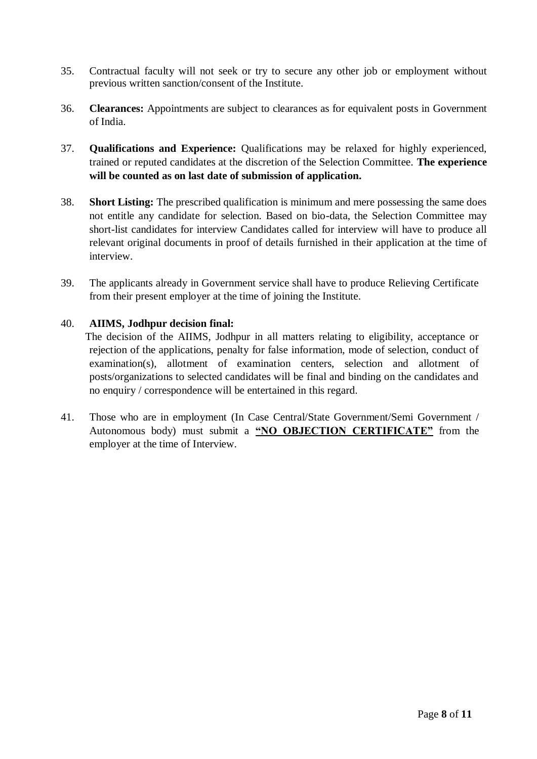- 35. Contractual faculty will not seek or try to secure any other job or employment without previous written sanction/consent of the Institute.
- 36. **Clearances:** Appointments are subject to clearances as for equivalent posts in Government of India.
- 37. **Qualifications and Experience:** Qualifications may be relaxed for highly experienced, trained or reputed candidates at the discretion of the Selection Committee. **The experience will be counted as on last date of submission of application.**
- 38. **Short Listing:** The prescribed qualification is minimum and mere possessing the same does not entitle any candidate for selection. Based on bio-data, the Selection Committee may short-list candidates for interview Candidates called for interview will have to produce all relevant original documents in proof of details furnished in their application at the time of interview.
- 39. The applicants already in Government service shall have to produce Relieving Certificate from their present employer at the time of joining the Institute.

#### 40. **AIIMS, Jodhpur decision final:**

The decision of the AIIMS, Jodhpur in all matters relating to eligibility, acceptance or rejection of the applications, penalty for false information, mode of selection, conduct of examination(s), allotment of examination centers, selection and allotment of posts/organizations to selected candidates will be final and binding on the candidates and no enquiry / correspondence will be entertained in this regard.

41. Those who are in employment (In Case Central/State Government/Semi Government / Autonomous body) must submit a **"NO OBJECTION CERTIFICATE"** from the employer at the time of Interview.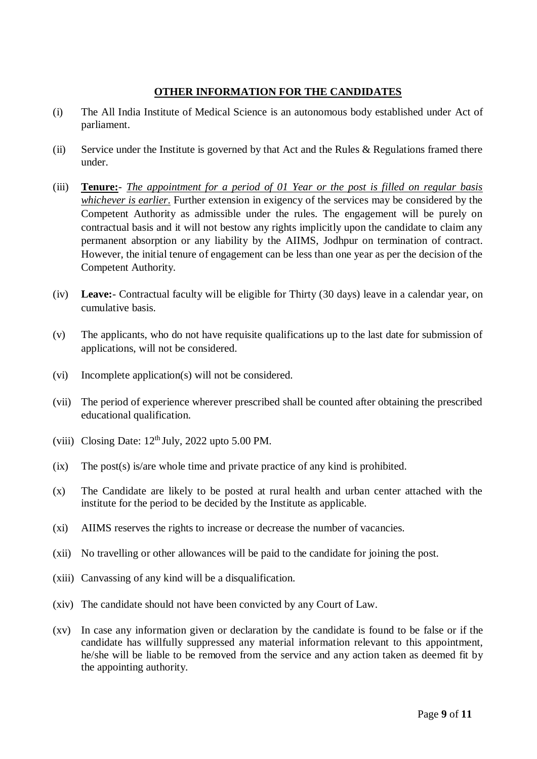### **OTHER INFORMATION FOR THE CANDIDATES**

- (i) The All India Institute of Medical Science is an autonomous body established under Act of parliament.
- (ii) Service under the Institute is governed by that Act and the Rules & Regulations framed there under.
- (iii) **Tenure:** *The appointment for a period of 01 Year or the post is filled on regular basis whichever is earlier*. Further extension in exigency of the services may be considered by the Competent Authority as admissible under the rules. The engagement will be purely on contractual basis and it will not bestow any rights implicitly upon the candidate to claim any permanent absorption or any liability by the AIIMS, Jodhpur on termination of contract. However, the initial tenure of engagement can be less than one year as per the decision of the Competent Authority.
- (iv) **Leave:** Contractual faculty will be eligible for Thirty (30 days) leave in a calendar year, on cumulative basis.
- (v) The applicants, who do not have requisite qualifications up to the last date for submission of applications, will not be considered.
- (vi) Incomplete application(s) will not be considered.
- (vii) The period of experience wherever prescribed shall be counted after obtaining the prescribed educational qualification.
- (viii) Closing Date:  $12<sup>th</sup>$  July, 2022 upto 5.00 PM.
- (ix) The post(s) is/are whole time and private practice of any kind is prohibited.
- (x) The Candidate are likely to be posted at rural health and urban center attached with the institute for the period to be decided by the Institute as applicable.
- (xi) AIIMS reserves the rights to increase or decrease the number of vacancies.
- (xii) No travelling or other allowances will be paid to the candidate for joining the post.
- (xiii) Canvassing of any kind will be a disqualification.
- (xiv) The candidate should not have been convicted by any Court of Law.
- (xv) In case any information given or declaration by the candidate is found to be false or if the candidate has willfully suppressed any material information relevant to this appointment, he/she will be liable to be removed from the service and any action taken as deemed fit by the appointing authority.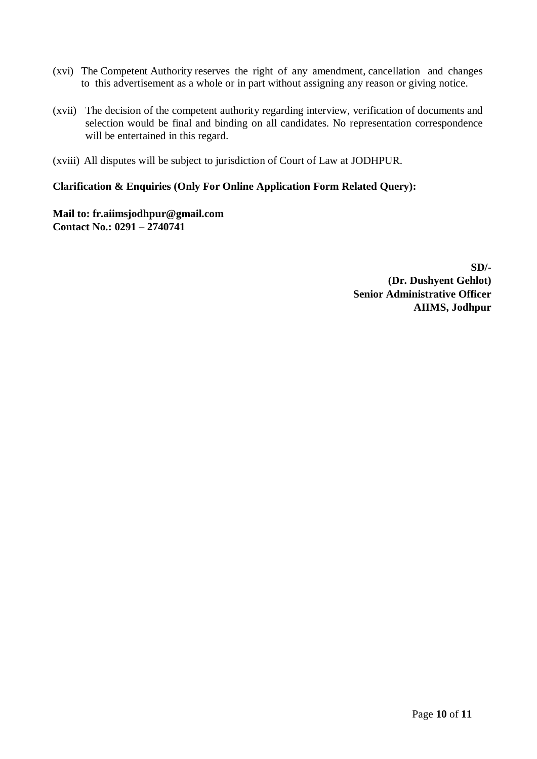- (xvi) The Competent Authority reserves the right of any amendment, cancellation and changes to this advertisement as a whole or in part without assigning any reason or giving notice.
- (xvii) The decision of the competent authority regarding interview, verification of documents and selection would be final and binding on all candidates. No representation correspondence will be entertained in this regard.
- (xviii) All disputes will be subject to jurisdiction of Court of Law at JODHPUR.

#### **Clarification & Enquiries (Only For Online Application Form Related Query):**

**Mail to: fr.aiimsjodhpur@gmail.com Contact No.: 0291 – 2740741** 

> **SD/- (Dr. Dushyent Gehlot) Senior Administrative Officer AIIMS, Jodhpur**